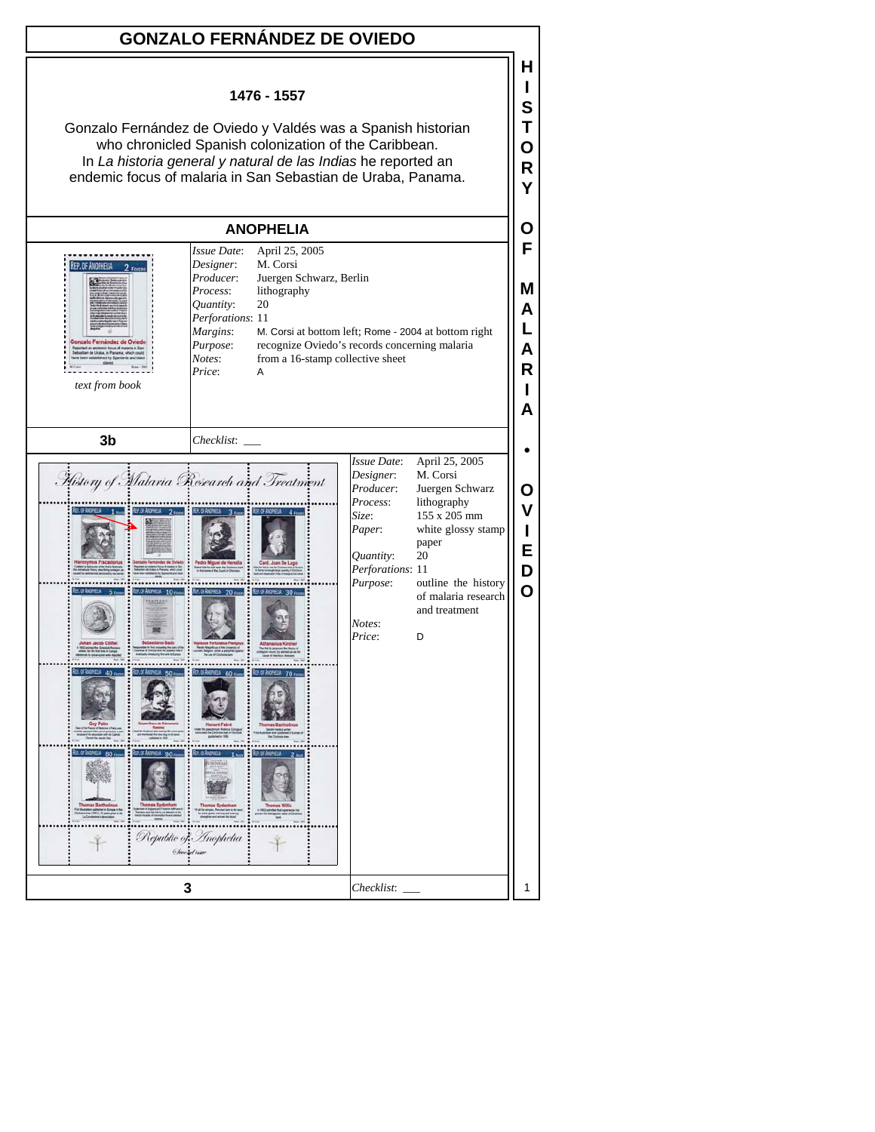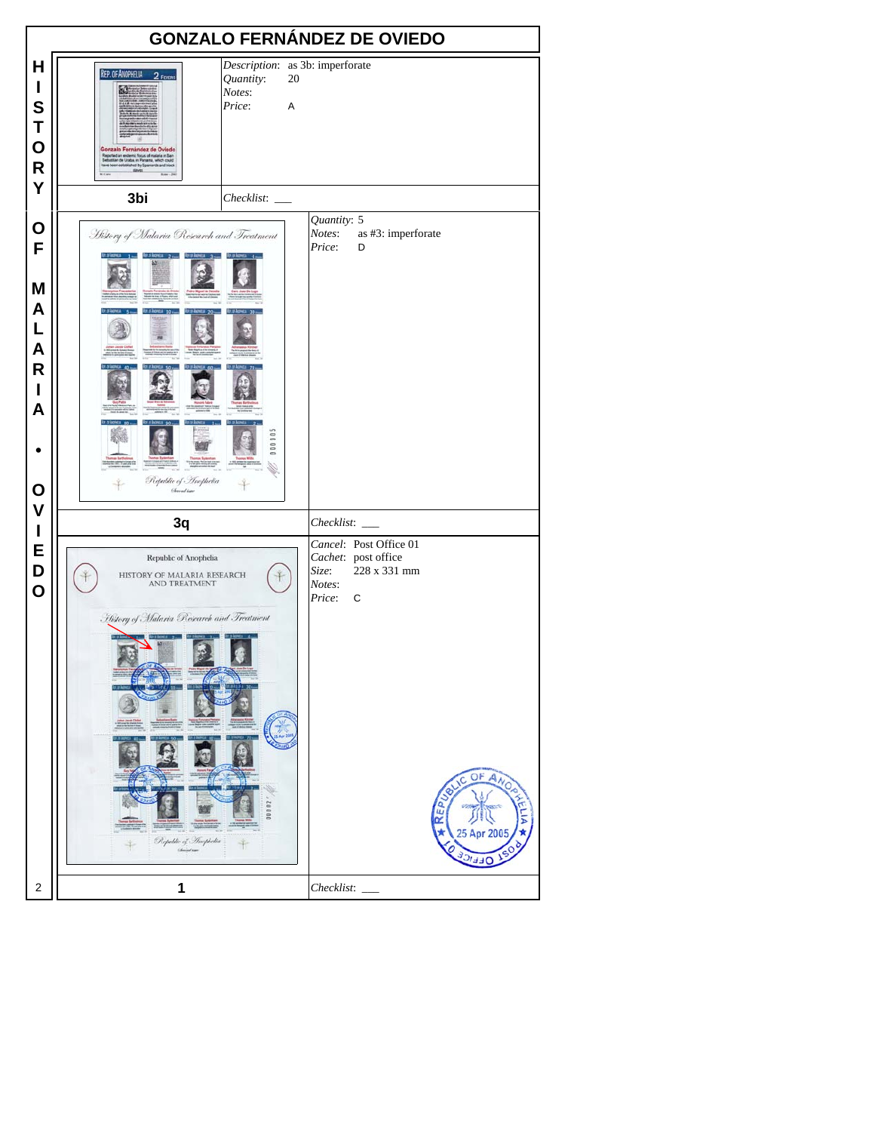|                                                                     | <b>GONZALO FERNÁNDEZ DE OVIEDO</b>                                                                                                                                                                                                    |                                                                                                                                                            |  |  |  |
|---------------------------------------------------------------------|---------------------------------------------------------------------------------------------------------------------------------------------------------------------------------------------------------------------------------------|------------------------------------------------------------------------------------------------------------------------------------------------------------|--|--|--|
| H<br>I<br>S<br>T<br>$\mathbf O$<br>$\mathsf{R}$<br>Y                | Description: as 3b: imperforate<br><b>REP. OF ANOPHELIA</b><br>2 FEVERS<br>Quantity:<br>20<br>Notes:<br>Price:<br>A<br>Gonzalo Fernández de Oviedo<br>endemic focus of malaria m<br>Uratas, in Panama, which c<br>ed by Spaniards and |                                                                                                                                                            |  |  |  |
|                                                                     | 3bi                                                                                                                                                                                                                                   |                                                                                                                                                            |  |  |  |
| O<br>F<br>M<br>A<br>L<br>A<br>$\mathsf{R}$<br>ı<br>A<br>$\mathbf O$ | History of Malaria Research and Treatment<br>Republic of - Thephelia<br>Chreadian                                                                                                                                                     | Quantity: 5<br>Notes:<br>as #3: imperforate<br>Price:<br>D                                                                                                 |  |  |  |
| $\mathsf{V}$                                                        | 3q                                                                                                                                                                                                                                    | Checklist:                                                                                                                                                 |  |  |  |
| I<br>Е<br>D<br>$\mathbf 0$                                          | Republic of Anophelia<br>HISTORY OF MALARIA RESEARCH<br>AND TREATMENT<br>History of Malaria Research and Treatment<br>Republic of Anophelia<br>Christmas                                                                              | Cancel: Post Office 01<br>Cachet: post office<br>228 x 331 mm<br>Size:<br>Notes:<br>Price:<br>$\mathbf C$<br>OF ANOS<br><b>C</b><br>EP<br>œ<br>25 Apr 2005 |  |  |  |
| $\sqrt{2}$                                                          | 1                                                                                                                                                                                                                                     | Checklist:                                                                                                                                                 |  |  |  |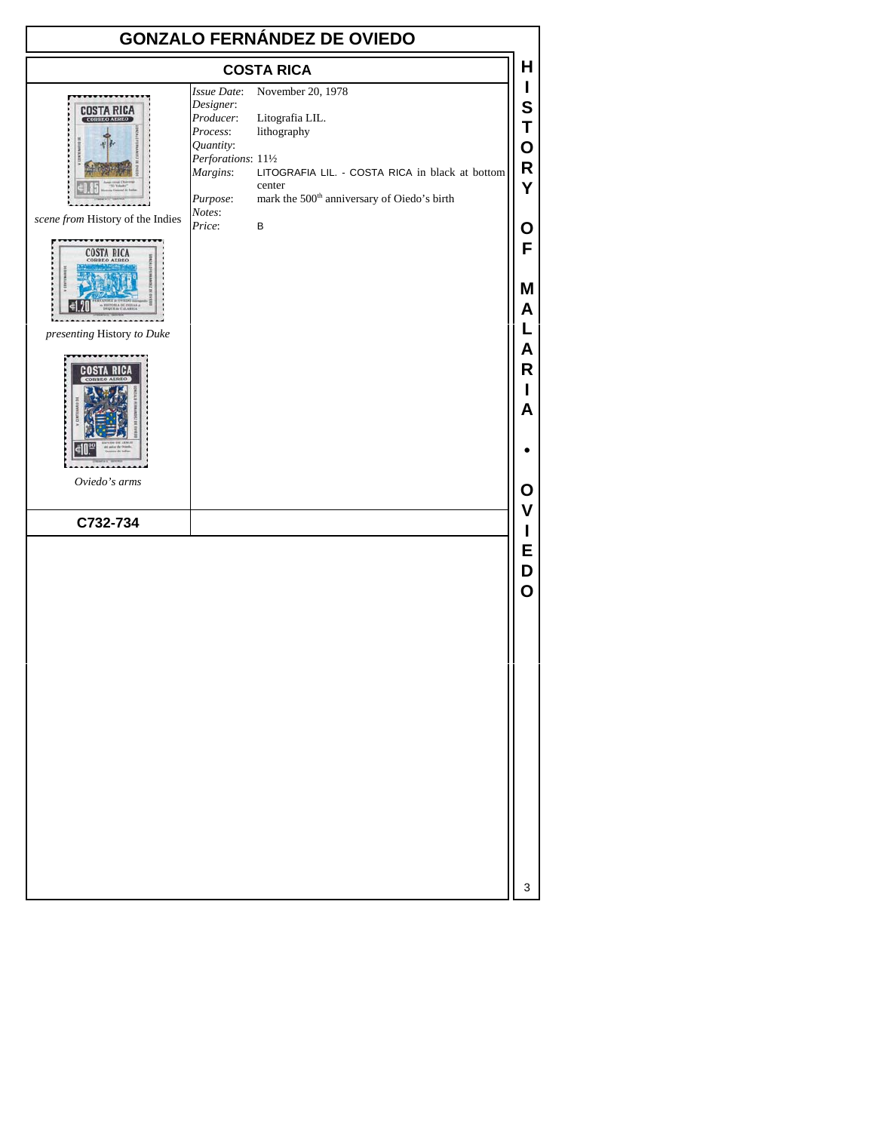| <b>GONZALO FERNÁNDEZ DE OVIEDO</b>                     |                                                                                                               |                                                                                                                                                                             |                       |  |  |
|--------------------------------------------------------|---------------------------------------------------------------------------------------------------------------|-----------------------------------------------------------------------------------------------------------------------------------------------------------------------------|-----------------------|--|--|
| <b>COSTA RICA</b>                                      |                                                                                                               |                                                                                                                                                                             |                       |  |  |
| COSTA RICA<br><b>CORREO AEREO</b>                      | Issue Date:<br>Designer:<br>Producer:<br>Process:<br>Quantity:<br>Perforations: 111/2<br>Margins:<br>Purpose: | November 20, 1978<br>Litografia LIL.<br>lithography<br>LITOGRAFIA LIL. - COSTA RICA in black at bottom<br>center<br>mark the 500 <sup>th</sup> anniversary of Oiedo's birth | S<br>Т<br>O<br>R<br>Y |  |  |
| scene from History of the Indies<br><b>ORREO AEREO</b> | Notes:<br>Price:                                                                                              | B                                                                                                                                                                           | O<br>F                |  |  |
| presenting History to Duke                             |                                                                                                               |                                                                                                                                                                             | M<br>A                |  |  |
|                                                        |                                                                                                               |                                                                                                                                                                             | A<br>R<br>A           |  |  |
|                                                        |                                                                                                               |                                                                                                                                                                             |                       |  |  |

*Oviedo's arms*

**C732-734**

3

**O V I E D O**